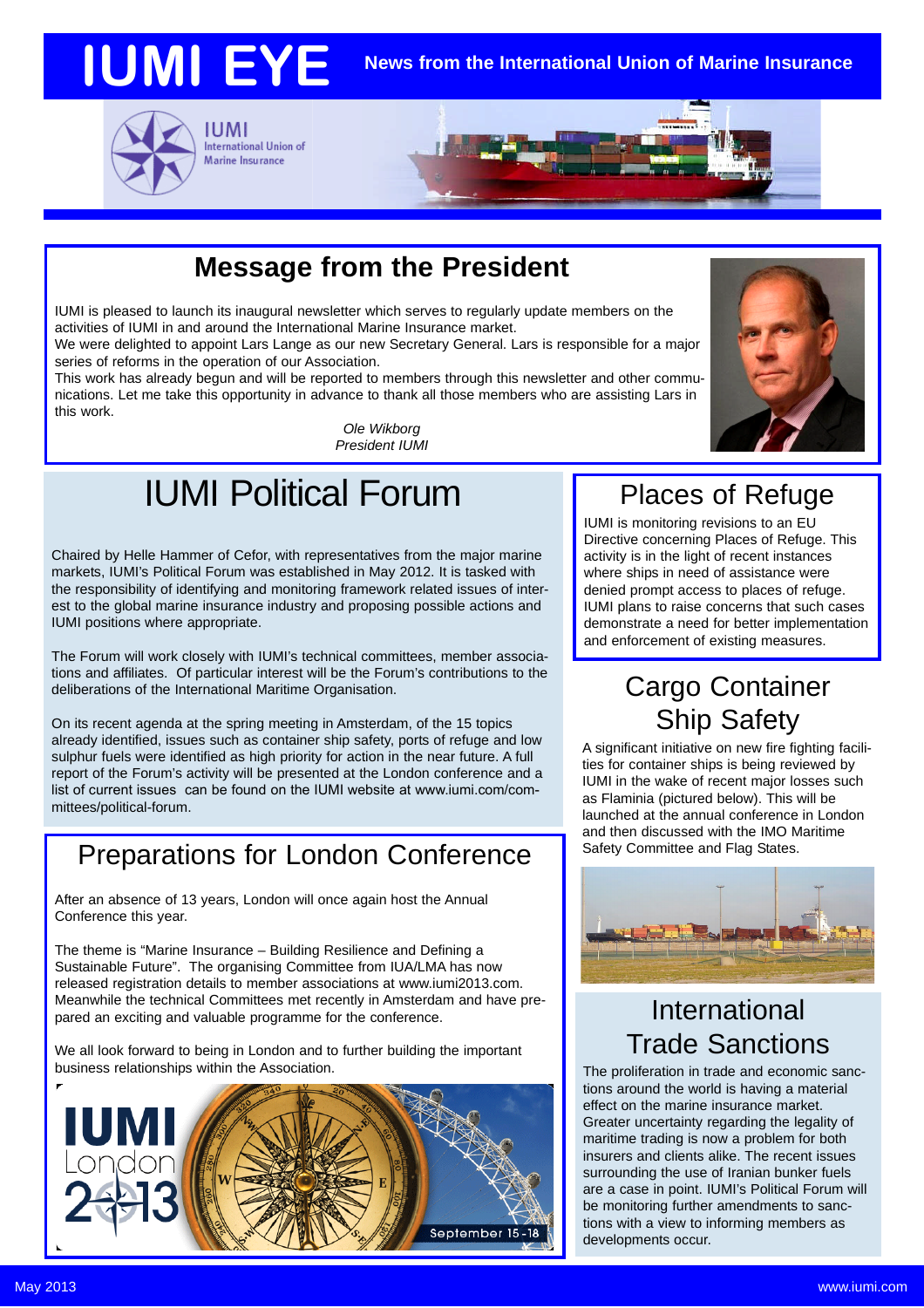



International Union of Marine Insurance

# **Message from the President**

IUMI is pleased to launch its inaugural newsletter which serves to regularly update members on the activities of IUMI in and around the International Marine Insurance market.

We were delighted to appoint Lars Lange as our new Secretary General. Lars is responsible for a major series of reforms in the operation of our Association.

This work has already begun and will be reported to members through this newsletter and other communications. Let me take this opportunity in advance to thank all those members who are assisting Lars in this work.

*Ole Wikborg President IUMI*

# IUMI Political Forum

Chaired by Helle Hammer of Cefor, with representatives from the major marine markets, IUMI's Political Forum was established in May 2012. It is tasked with the responsibility of identifying and monitoring framework related issues of interest to the global marine insurance industry and proposing possible actions and IUMI positions where appropriate.

The Forum will work closely with IUMI's technical committees, member associations and affiliates. Of particular interest will be the Forum's contributions to the deliberations of the International Maritime Organisation.

On its recent agenda at the spring meeting in Amsterdam, of the 15 topics already identified, issues such as container ship safety, ports of refuge and low sulphur fuels were identified as high priority for action in the near future. A full report of the Forum's activity will be presented at the London conference and a list of current issues can be found on the IUMI website at www.iumi.com/committees/political-forum.

## Preparations for London Conference

After an absence of 13 years, London will once again host the Annual Conference this year.

The theme is "Marine Insurance – Building Resilience and Defining a Sustainable Future". The organising Committee from IUA/LMA has now released registration details to member associations at www.iumi2013.com. Meanwhile the technical Committees met recently in Amsterdam and have prepared an exciting and valuable programme for the conference.

We all look forward to being in London and to further building the important business relationships within the Association.



# Places of Refuge

IUMI is monitoring revisions to an EU Directive concerning Places of Refuge. This activity is in the light of recent instances where ships in need of assistance were denied prompt access to places of refuge. IUMI plans to raise concerns that such cases demonstrate a need for better implementation and enforcement of existing measures.

# Cargo Container Ship Safety

A significant initiative on new fire fighting facilities for container ships is being reviewed by IUMI in the wake of recent major losses such as Flaminia (pictured below). This will be launched at the annual conference in London and then discussed with the IMO Maritime Safety Committee and Flag States.



#### International Trade Sanctions

The proliferation in trade and economic sanctions around the world is having a material effect on the marine insurance market. Greater uncertainty regarding the legality of maritime trading is now a problem for both insurers and clients alike. The recent issues surrounding the use of Iranian bunker fuels are a case in point. IUMI's Political Forum will be monitoring further amendments to sanctions with a view to informing members as developments occur.